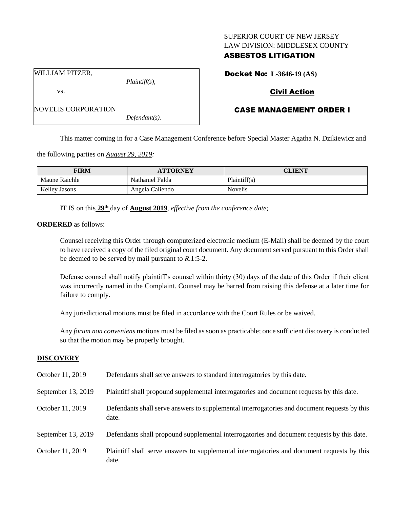### SUPERIOR COURT OF NEW JERSEY LAW DIVISION: MIDDLESEX COUNTY

# ASBESTOS LITIGATION

Docket No: **L-3646-19 (AS)**

WILLIAM PITZER,

vs.

*Plaintiff(s),*

# Civil Action

# CASE MANAGEMENT ORDER I

NOVELIS CORPORATION *Defendant(s).*

This matter coming in for a Case Management Conference before Special Master Agatha N. Dzikiewicz and

the following parties on *August 29, 2019:*

| <b>FIRM</b>   | <b>ATTORNEY</b> | CLIENT         |
|---------------|-----------------|----------------|
| Maune Raichle | Nathaniel Falda | Plaintiff(s)   |
| Kellev Jasons | Angela Caliendo | <b>Novelis</b> |

IT IS on this **29th** day of **August 2019**, *effective from the conference date;*

**ORDERED** as follows:

Counsel receiving this Order through computerized electronic medium (E-Mail) shall be deemed by the court to have received a copy of the filed original court document. Any document served pursuant to this Order shall be deemed to be served by mail pursuant to *R*.1:5-2.

Defense counsel shall notify plaintiff's counsel within thirty (30) days of the date of this Order if their client was incorrectly named in the Complaint. Counsel may be barred from raising this defense at a later time for failure to comply.

Any jurisdictional motions must be filed in accordance with the Court Rules or be waived.

Any *forum non conveniens* motions must be filed as soon as practicable; once sufficient discovery is conducted so that the motion may be properly brought.

### **DISCOVERY**

| October 11, 2019   | Defendants shall serve answers to standard interrogatories by this date.                              |
|--------------------|-------------------------------------------------------------------------------------------------------|
| September 13, 2019 | Plaintiff shall propound supplemental interrogatories and document requests by this date.             |
| October 11, 2019   | Defendants shall serve answers to supplemental interrogatories and document requests by this<br>date. |
| September 13, 2019 | Defendants shall propound supplemental interrogatories and document requests by this date.            |
| October 11, 2019   | Plaintiff shall serve answers to supplemental interrogatories and document requests by this<br>date.  |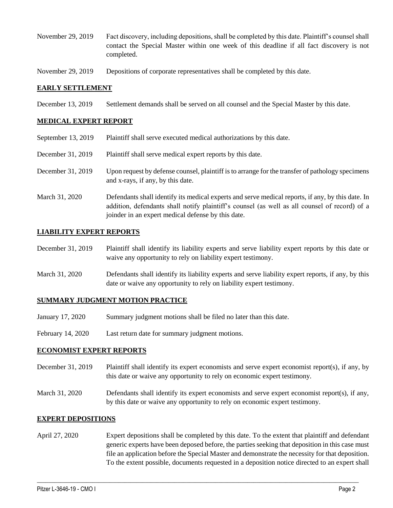- November 29, 2019 Fact discovery, including depositions, shall be completed by this date. Plaintiff's counsel shall contact the Special Master within one week of this deadline if all fact discovery is not completed.
- November 29, 2019 Depositions of corporate representatives shall be completed by this date.

## **EARLY SETTLEMENT**

December 13, 2019 Settlement demands shall be served on all counsel and the Special Master by this date.

### **MEDICAL EXPERT REPORT**

September 13, 2019 Plaintiff shall serve executed medical authorizations by this date. December 31, 2019 Plaintiff shall serve medical expert reports by this date. December 31, 2019 Upon request by defense counsel, plaintiff is to arrange for the transfer of pathology specimens and x-rays, if any, by this date. March 31, 2020 Defendants shall identify its medical experts and serve medical reports, if any, by this date. In addition, defendants shall notify plaintiff's counsel (as well as all counsel of record) of a joinder in an expert medical defense by this date.

### **LIABILITY EXPERT REPORTS**

- December 31, 2019 Plaintiff shall identify its liability experts and serve liability expert reports by this date or waive any opportunity to rely on liability expert testimony.
- March 31, 2020 Defendants shall identify its liability experts and serve liability expert reports, if any, by this date or waive any opportunity to rely on liability expert testimony.

### **SUMMARY JUDGMENT MOTION PRACTICE**

- January 17, 2020 Summary judgment motions shall be filed no later than this date.
- February 14, 2020 Last return date for summary judgment motions.

### **ECONOMIST EXPERT REPORTS**

- December 31, 2019 Plaintiff shall identify its expert economists and serve expert economist report(s), if any, by this date or waive any opportunity to rely on economic expert testimony.
- March 31, 2020 Defendants shall identify its expert economists and serve expert economist report(s), if any, by this date or waive any opportunity to rely on economic expert testimony.

### **EXPERT DEPOSITIONS**

April 27, 2020 Expert depositions shall be completed by this date. To the extent that plaintiff and defendant generic experts have been deposed before, the parties seeking that deposition in this case must file an application before the Special Master and demonstrate the necessity for that deposition. To the extent possible, documents requested in a deposition notice directed to an expert shall

 $\_$  , and the set of the set of the set of the set of the set of the set of the set of the set of the set of the set of the set of the set of the set of the set of the set of the set of the set of the set of the set of th